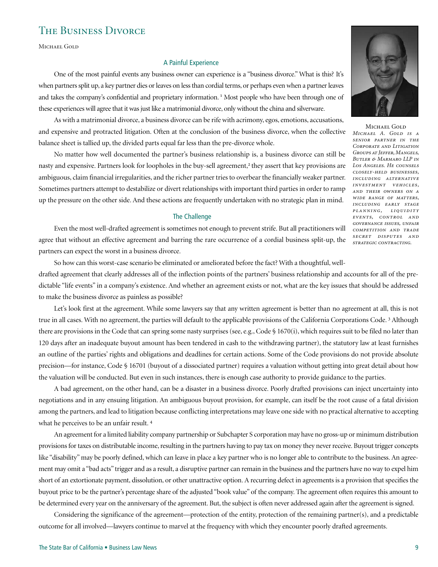# The Business Divorce

Michael Gold

#### A Painful Experience

One of the most painful events any business owner can experience is a "business divorce." What is this? It's when partners split up, a key partner dies or leaves on less than cordial terms, or perhaps even when a partner leaves and takes the company's confidential and proprietary information.<sup>1</sup> Most people who have been through one of these experiences will agree that it was just like a matrimonial divorce, only without the china and silverware.

As with a matrimonial divorce, a business divorce can be rife with acrimony, egos, emotions, accusations, and expensive and protracted litigation. Often at the conclusion of the business divorce, when the collective balance sheet is tallied up, the divided parts equal far less than the pre-divorce whole.

No matter how well documented the partner's business relationship is, a business divorce can still be nasty and expensive. Partners look for loopholes in the buy-sell agreement,<sup>2</sup> they assert that key provisions are ambiguous, claim financial irregularities, and the richer partner tries to overbear the financially weaker partner. Sometimes partners attempt to destabilize or divert relationships with important third parties in order to ramp up the pressure on the other side. And these actions are frequently undertaken with no strategic plan in mind.

#### The Challenge

Even the most well-drafted agreement is sometimes not enough to prevent strife. But all practitioners will competition AND TRADE agree that without an effective agreement and barring the rare occurrence of a cordial business split-up, the partners can expect the worst in a business divorce.

So how can this worst-case scenario be eliminated or ameliorated before the fact? With a thoughtful, welldrafted agreement that clearly addresses all of the inflection points of the partners' business relationship and accounts for all of the predictable "life events" in a company's existence. And whether an agreement exists or not, what are the key issues that should be addressed to make the business divorce as painless as possible?

Let's look first at the agreement. While some lawyers say that any written agreement is better than no agreement at all, this is not true in all cases. With no agreement, the parties will default to the applicable provisions of the California Corporations Code.<sup>3</sup> Although there are provisions in the Code that can spring some nasty surprises (see, e.g., Code § 1670(i), which requires suit to be filed no later than 120 days after an inadequate buyout amount has been tendered in cash to the withdrawing partner), the statutory law at least furnishes an outline of the parties' rights and obligations and deadlines for certain actions. Some of the Code provisions do not provide absolute precision—for instance, Code § 16701 (buyout of a dissociated partner) requires a valuation without getting into great detail about how the valuation will be conducted. But even in such instances, there is enough case authority to provide guidance to the parties.

A bad agreement, on the other hand, can be a disaster in a business divorce. Poorly drafted provisions can inject uncertainty into negotiations and in any ensuing litigation. An ambiguous buyout provision, for example, can itself be the root cause of a fatal division among the partners, and lead to litigation because conflicting interpretations may leave one side with no practical alternative to accepting what he perceives to be an unfair result. <sup>4</sup>

An agreement for a limited liability company partnership or Subchapter S corporation may have no gross-up or minimum distribution provisions for taxes on distributable income, resulting in the partners having to pay tax on money they never receive. Buyout trigger concepts like "disability" may be poorly defined, which can leave in place a key partner who is no longer able to contribute to the business. An agreement may omit a "bad acts" trigger and as a result, a disruptive partner can remain in the business and the partners have no way to expel him short of an extortionate payment, dissolution, or other unattractive option. A recurring defect in agreements is a provision that specifies the buyout price to be the partner's percentage share of the adjusted "book value" of the company. The agreement often requires this amount to be determined every year on the anniversary of the agreement. But, the subject is often never addressed again after the agreement is signed.

Considering the significance of the agreement—protection of the entity, protection of the remaining partner(s), and a predictable outcome for all involved—lawyers continue to marvel at the frequency with which they encounter poorly drafted agreements.



MICHAEL GOLD *Michael A. Gold is a senior partner in the Corporate and Litigation Groups at Jeffer, Mangels, Butler & Marmaro LLP in Los Angeles. He counsels closely-held businesses, including alternative investment vehicles, and their owners on a wide range of matters, including early stage pl anning, liquidit y events, control and governance issues, unfair secret disputes and strategic contracting.*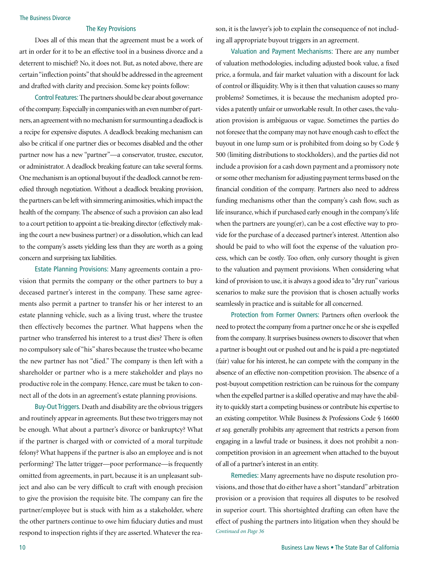#### The Business Divorce

# The Key Provisions

Does all of this mean that the agreement must be a work of art in order for it to be an effective tool in a business divorce and a deterrent to mischief? No, it does not. But, as noted above, there are certain "inflection points" that should be addressed in the agreement and drafted with clarity and precision. Some key points follow:

Control Features: The partners should be clear about governance of the company. Especially in companies with an even number of partners, an agreement with no mechanism for surmounting a deadlock is a recipe for expensive disputes. A deadlock breaking mechanism can also be critical if one partner dies or becomes disabled and the other partner now has a new "partner"—a conservator, trustee, executor, or administrator. A deadlock breaking feature can take several forms. One mechanism is an optional buyout if the deadlock cannot be remedied through negotiation. Without a deadlock breaking provision, the partners can be left with simmering animosities, which impact the health of the company. The absence of such a provision can also lead to a court petition to appoint a tie-breaking director (effectively making the court a new business partner) or a dissolution, which can lead to the company's assets yielding less than they are worth as a going concern and surprising tax liabilities.

Estate Planning Provisions: Many agreements contain a provision that permits the company or the other partners to buy a deceased partner's interest in the company. These same agreements also permit a partner to transfer his or her interest to an estate planning vehicle, such as a living trust, where the trustee then effectively becomes the partner. What happens when the partner who transferred his interest to a trust dies? There is often no compulsory sale of "his" shares because the trustee who became the new partner has not "died." The company is then left with a shareholder or partner who is a mere stakeholder and plays no productive role in the company. Hence, care must be taken to connect all of the dots in an agreement's estate planning provisions.

Buy-Out Triggers. Death and disability are the obvious triggers and routinely appear in agreements. But these two triggers may not be enough. What about a partner's divorce or bankruptcy? What if the partner is charged with or convicted of a moral turpitude felony? What happens if the partner is also an employee and is not performing? The latter trigger—poor performance—is frequently omitted from agreements, in part, because it is an unpleasant subject and also can be very difficult to craft with enough precision to give the provision the requisite bite. The company can fire the partner/employee but is stuck with him as a stakeholder, where the other partners continue to owe him fiduciary duties and must respond to inspection rights if they are asserted. Whatever the rea- *Continued on Page 36*

son, it is the lawyer's job to explain the consequence of not including all appropriate buyout triggers in an agreement.

Valuation and Payment Mechanisms: There are any number of valuation methodologies, including adjusted book value, a fixed price, a formula, and fair market valuation with a discount for lack of control or illiquidity. Why is it then that valuation causes so many problems? Sometimes, it is because the mechanism adopted provides a patently unfair or unworkable result. In other cases, the valuation provision is ambiguous or vague. Sometimes the parties do not foresee that the company may not have enough cash to effect the buyout in one lump sum or is prohibited from doing so by Code § 500 (limiting distributions to stockholders), and the parties did not include a provision for a cash down payment and a promissory note or some other mechanism for adjusting payment terms based on the financial condition of the company. Partners also need to address funding mechanisms other than the company's cash flow, such as life insurance, which if purchased early enough in the company's life when the partners are young(er), can be a cost effective way to provide for the purchase of a deceased partner's interest. Attention also should be paid to who will foot the expense of the valuation process, which can be costly. Too often, only cursory thought is given to the valuation and payment provisions. When considering what kind of provision to use, it is always a good idea to "dry run" various scenarios to make sure the provision that is chosen actually works seamlessly in practice and is suitable for all concerned.

Protection from Former Owners: Partners often overlook the need to protect the company from a partner once he or she is expelled from the company. It surprises business owners to discover that when a partner is bought out or pushed out and he is paid a pre-negotiated (fair) value for his interest, he can compete with the company in the absence of an effective non-competition provision. The absence of a post-buyout competition restriction can be ruinous for the company when the expelled partner is a skilled operative and may have the ability to quickly start a competing business or contribute his expertise to an existing competitor. While Business & Professions Code § 16600 *et seq.* generally prohibits any agreement that restricts a person from engaging in a lawful trade or business, it does not prohibit a noncompetition provision in an agreement when attached to the buyout of all of a partner's interest in an entity.

Remedies: Many agreements have no dispute resolution provisions, and those that do either have a short "standard" arbitration provision or a provision that requires all disputes to be resolved in superior court. This shortsighted drafting can often have the effect of pushing the partners into litigation when they should be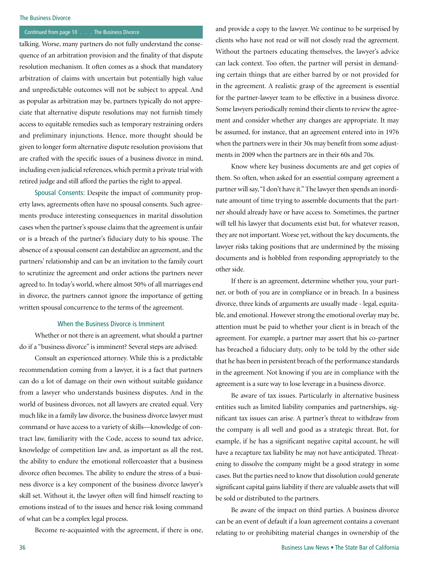### The Business Divorce

# Continued from page 10 . . . The Business Divorce

talking. Worse, many partners do not fully understand the consequence of an arbitration provision and the finality of that dispute resolution mechanism. It often comes as a shock that mandatory arbitration of claims with uncertain but potentially high value and unpredictable outcomes will not be subject to appeal. And as popular as arbitration may be, partners typically do not appreciate that alternative dispute resolutions may not furnish timely access to equitable remedies such as temporary restraining orders and preliminary injunctions. Hence, more thought should be given to longer form alternative dispute resolution provisions that are crafted with the specific issues of a business divorce in mind, including even judicial references, which permit a private trial with retired judge and still afford the parties the right to appeal.

Spousal Consents: Despite the impact of community property laws, agreements often have no spousal consents. Such agreements produce interesting consequences in marital dissolution cases when the partner's spouse claims that the agreement is unfair or is a breach of the partner's fiduciary duty to his spouse. The absence of a spousal consent can destabilize an agreement, and the partners' relationship and can be an invitation to the family court to scrutinize the agreement and order actions the partners never agreed to. In today's world, where almost 50% of all marriages end in divorce, the partners cannot ignore the importance of getting written spousal concurrence to the terms of the agreement.

# When the Business Divorce is Imminent

Whether or not there is an agreement, what should a partner do if a "business divorce" is imminent? Several steps are advised:

Consult an experienced attorney. While this is a predictable recommendation coming from a lawyer, it is a fact that partners can do a lot of damage on their own without suitable guidance from a lawyer who understands business disputes. And in the world of business divorces, not all lawyers are created equal. Very much like in a family law divorce, the business divorce lawyer must command or have access to a variety of skills—knowledge of contract law, familiarity with the Code, access to sound tax advice, knowledge of competition law and, as important as all the rest, the ability to endure the emotional rollercoaster that a business divorce often becomes. The ability to endure the stress of a business divorce is a key component of the business divorce lawyer's skill set. Without it, the lawyer often will find himself reacting to emotions instead of to the issues and hence risk losing command of what can be a complex legal process.

Become re-acquainted with the agreement, if there is one,

and provide a copy to the lawyer. We continue to be surprised by clients who have not read or will not closely read the agreement. Without the partners educating themselves, the lawyer's advice can lack context. Too often, the partner will persist in demanding certain things that are either barred by or not provided for in the agreement. A realistic grasp of the agreement is essential for the partner-lawyer team to be effective in a business divorce. Some lawyers periodically remind their clients to review the agreement and consider whether any changes are appropriate. It may be assumed, for instance, that an agreement entered into in 1976 when the partners were in their 30s may benefit from some adjustments in 2009 when the partners are in their 60s and 70s.

Know where key business documents are and get copies of them. So often, when asked for an essential company agreement a partner will say, "I don't have it." The lawyer then spends an inordinate amount of time trying to assemble documents that the partner should already have or have access to. Sometimes, the partner will tell his lawyer that documents exist but, for whatever reason, they are not important. Worse yet, without the key documents, the lawyer risks taking positions that are undermined by the missing documents and is hobbled from responding appropriately to the other side.

If there is an agreement, determine whether you, your partner, or both of you are in compliance or in breach. In a business divorce, three kinds of arguments are usually made - legal, equitable, and emotional. However strong the emotional overlay may be, attention must be paid to whether your client is in breach of the agreement. For example, a partner may assert that his co-partner has breached a fiduciary duty, only to be told by the other side that he has been in persistent breach of the performance standards in the agreement. Not knowing if you are in compliance with the agreement is a sure way to lose leverage in a business divorce.

Be aware of tax issues. Particularly in alternative business entities such as limited liability companies and partnerships, significant tax issues can arise. A partner's threat to withdraw from the company is all well and good as a strategic threat. But, for example, if he has a significant negative capital account, he will have a recapture tax liability he may not have anticipated. Threatening to dissolve the company might be a good strategy in some cases. But the parties need to know that dissolution could generate significant capital gains liability if there are valuable assets that will be sold or distributed to the partners.

Be aware of the impact on third parties. A business divorce can be an event of default if a loan agreement contains a covenant relating to or prohibiting material changes in ownership of the